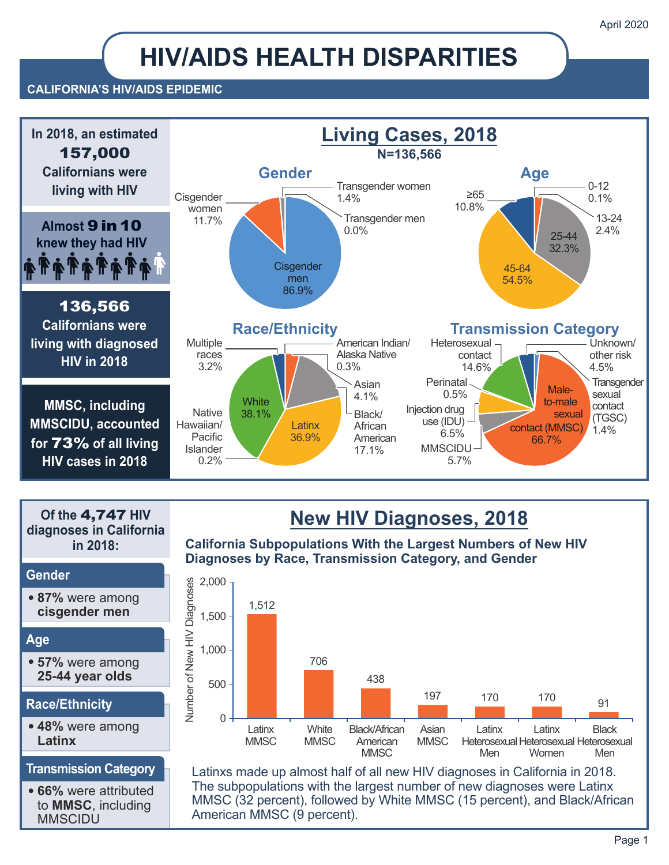# **HIV/AIDS HEALTH DISPARITIES**

#### **CALIFORNIA'S HIV/AIDS EPIDEMIC**



**Of the** 4,747 **HIV diagnoses in California in 2018:**

#### **Gender**

**• 87%** were among **cisgender men**

#### **Age**

**• 57%** were among **25-44 year olds**

#### **Race/Ethnicity**

**• 48%** were among **Latinx**

#### **Transmission Category**

**• 66%** were attributed to **MMSC**, including MMSCIDU

## **New HIV Diagnoses, 2018**

**California Subpopulations With the Largest Numbers of New HIV Diagnoses by Race, Transmission Category, and Gender**



Latinxs made up almost half of all new HIV diagnoses in California in 2018. The subpopulations with the largest number of new diagnoses were Latinx MMSC (32 percent), followed by White MMSC (15 percent), and Black/African American MMSC (9 percent).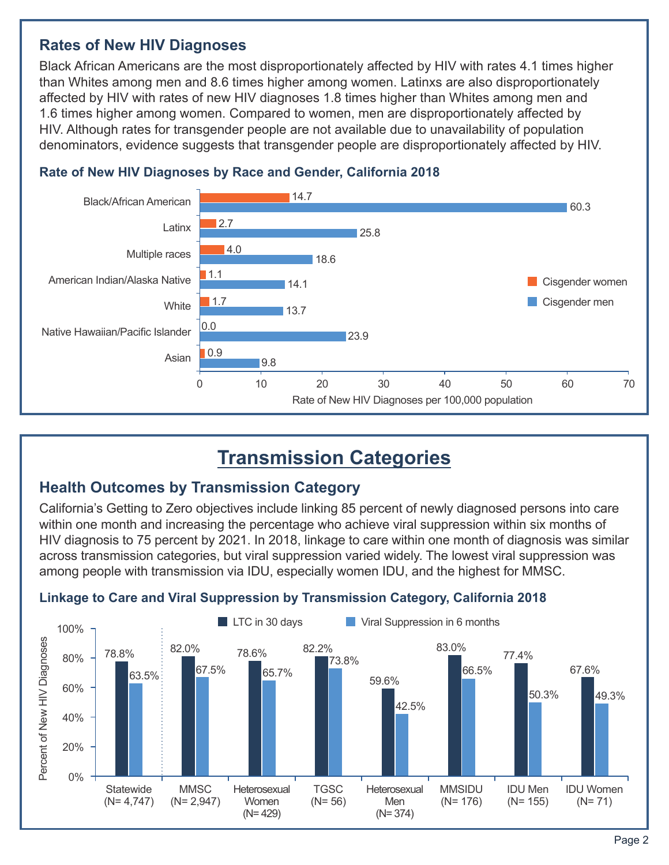### **Rates of New HIV Diagnoses**

Black African Americans are the most disproportionately affected by HIV with rates 4.1 times higher than Whites among men and 8.6 times higher among women. Latinxs are also disproportionately affected by HIV with rates of new HIV diagnoses 1.8 times higher than Whites among men and 1.6 times higher among women. Compared to women, men are disproportionately affected by HIV. Although rates for transgender people are not available due to unavailability of population denominators, evidence suggests that transgender people are disproportionately affected by HIV.



#### **Rate of New HIV Diagnoses by Race and Gender, California 2018**

## **Transmission Categories**

## **Health Outcomes by Transmission Category**

California's Getting to Zero objectives include linking 85 percent of newly diagnosed persons into care within one month and increasing the percentage who achieve viral suppression within six months of HIV diagnosis to 75 percent by 2021. In 2018, linkage to care within one month of diagnosis was similar across transmission categories, but viral suppression varied widely. The lowest viral suppression was among people with transmission via IDU, especially women IDU, and the highest for MMSC.



#### **Linkage to Care and Viral Suppression by Transmission Category, California 2018**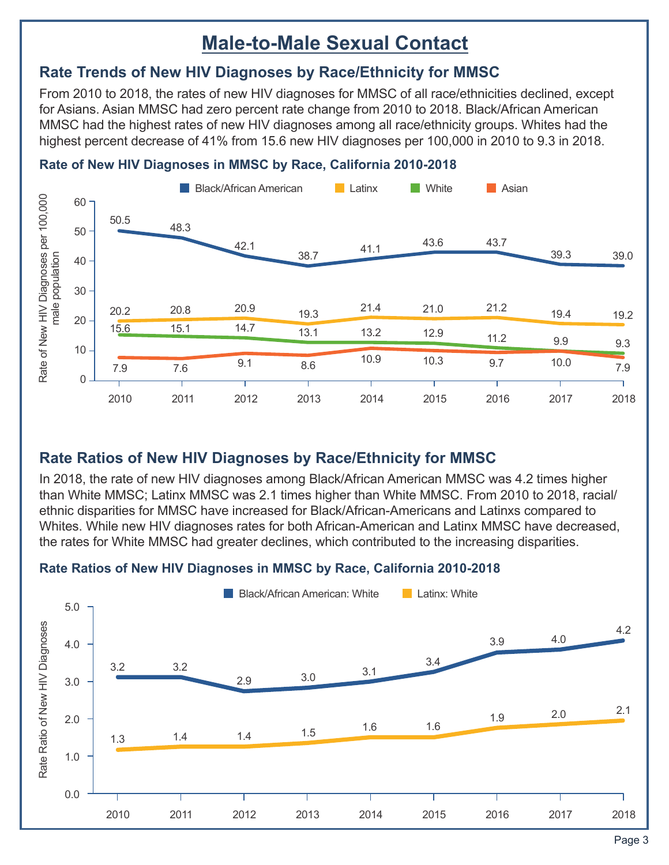## **Male-to-Male Sexual Contact**

## **Rate Trends of New HIV Diagnoses by Race/Ethnicity for MMSC**

From 2010 to 2018, the rates of new HIV diagnoses for MMSC of all race/ethnicities declined, except for Asians. Asian MMSC had zero percent rate change from 2010 to 2018. Black/African American MMSC had the highest rates of new HIV diagnoses among all race/ethnicity groups. Whites had the highest percent decrease of 41% from 15.6 new HIV diagnoses per 100,000 in 2010 to 9.3 in 2018.



#### **Rate of New HIV Diagnoses in MMSC by Race, California 2010-2018**

## **Rate Ratios of New HIV Diagnoses by Race/Ethnicity for MMSC**

In 2018, the rate of new HIV diagnoses among Black/African American MMSC was 4.2 times higher than White MMSC; Latinx MMSC was 2.1 times higher than White MMSC. From 2010 to 2018, racial/ ethnic disparities for MMSC have increased for Black/African-Americans and Latinxs compared to Whites. While new HIV diagnoses rates for both African-American and Latinx MMSC have decreased, the rates for White MMSC had greater declines, which contributed to the increasing disparities.

### **Rate Ratios of New HIV Diagnoses in MMSC by Race, California 2010-2018**

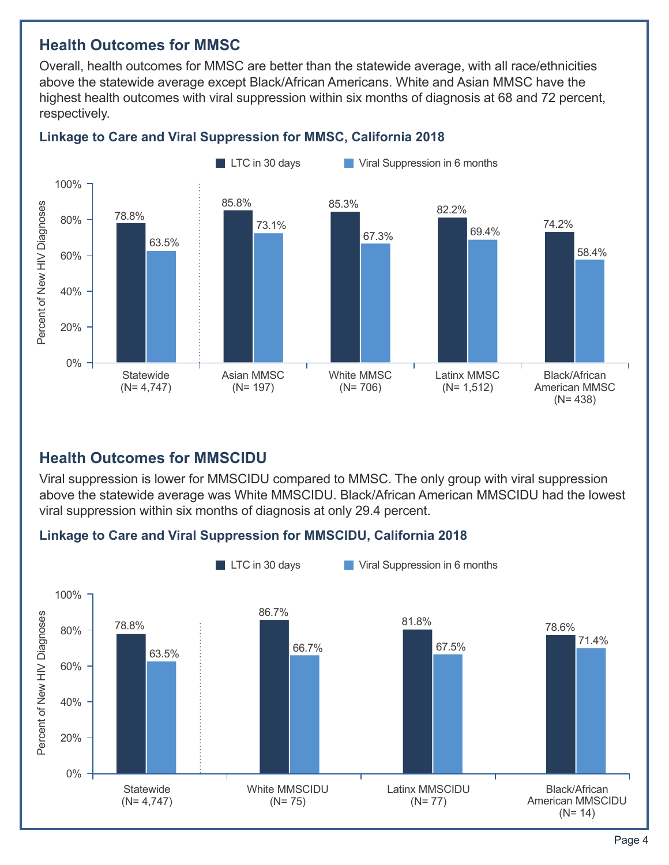### **Health Outcomes for MMSC**

Overall, health outcomes for MMSC are better than the statewide average, with all race/ethnicities above the statewide average except Black/African Americans. White and Asian MMSC have the highest health outcomes with viral suppression within six months of diagnosis at 68 and 72 percent, respectively.



#### **Linkage to Care and Viral Suppression for MMSC, California 2018**

### **Health Outcomes for MMSCIDU**

Viral suppression is lower for MMSCIDU compared to MMSC. The only group with viral suppression above the statewide average was White MMSCIDU. Black/African American MMSCIDU had the lowest viral suppression within six months of diagnosis at only 29.4 percent.

#### **Linkage to Care and Viral Suppression for MMSCIDU, California 2018**

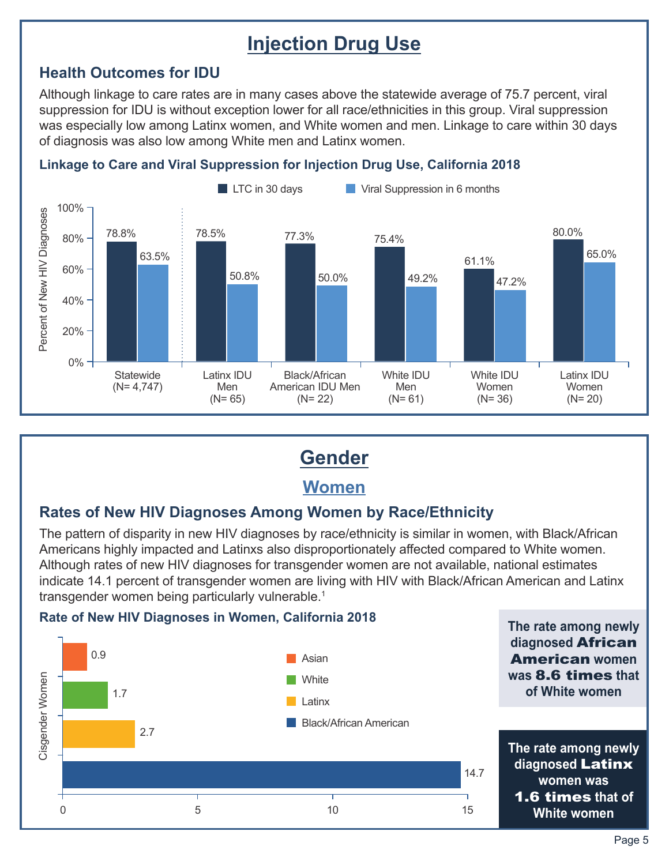## **Injection Drug Use**

## **Health Outcomes for IDU**

Although linkage to care rates are in many cases above the statewide average of 75.7 percent, viral suppression for IDU is without exception lower for all race/ethnicities in this group. Viral suppression was especially low among Latinx women, and White women and men. Linkage to care within 30 days of diagnosis was also low among White men and Latinx women.





## **Gender**

## **Women**

### **Rates of New HIV Diagnoses Among Women by Race/Ethnicity**

The pattern of disparity in new HIV diagnoses by race/ethnicity is similar in women, with Black/African Americans highly impacted and Latinxs also disproportionately affected compared to White women. Although rates of new HIV diagnoses for transgender women are not available, national estimates indicate 14.1 percent of transgender women are living with HIV with Black/African American and Latinx transgender women being particularly vulnerable.<sup>1</sup>

#### **Rate of New HIV Diagnoses in Women, California 2018**



**The rate among newly**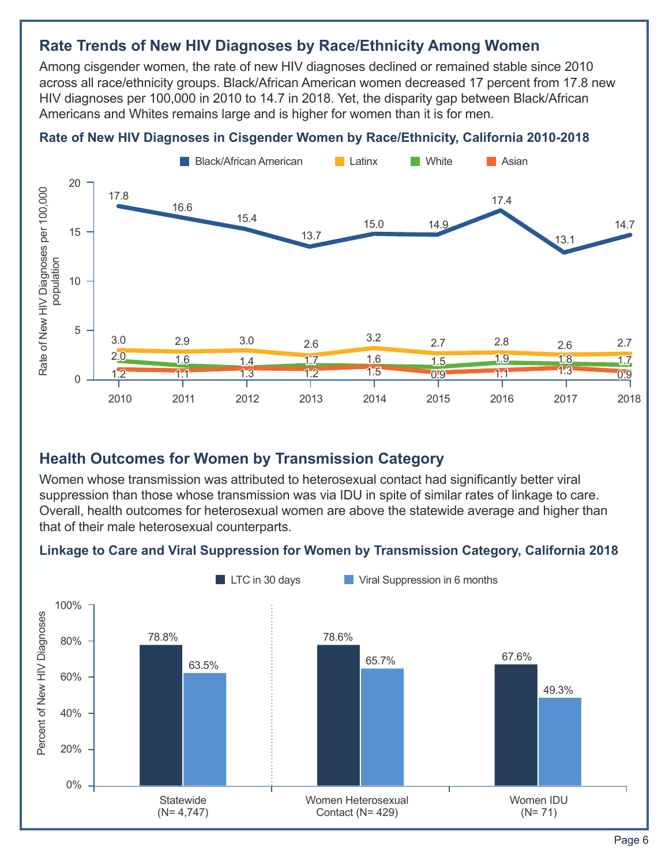## **Rate Trends of New HIV Diagnoses by Race/Ethnicity Among Women**

Among cisgender women, the rate of new HIV diagnoses declined or remained stable since 2010 across all race/ethnicity groups. Black/African American women decreased 17 percent from 17.8 new HIV diagnoses per 100,000 in 2010 to 14.7 in 2018. Yet, the disparity gap between Black/African Americans and Whites remains large and is higher for women than it is for men.

#### **Rate of New HIV Diagnoses in Cisgender Women by Race/Ethnicity, California 2010-2018**



### **Health Outcomes for Women by Transmission Category**

Women whose transmission was attributed to heterosexual contact had significantly better viral suppression than those whose transmission was via IDU in spite of similar rates of linkage to care. Overall, health outcomes for heterosexual women are above the statewide average and higher than that of their male heterosexual counterparts.

#### **Linkage to Care and Viral Suppression for Women by Transmission Category, California 2018**

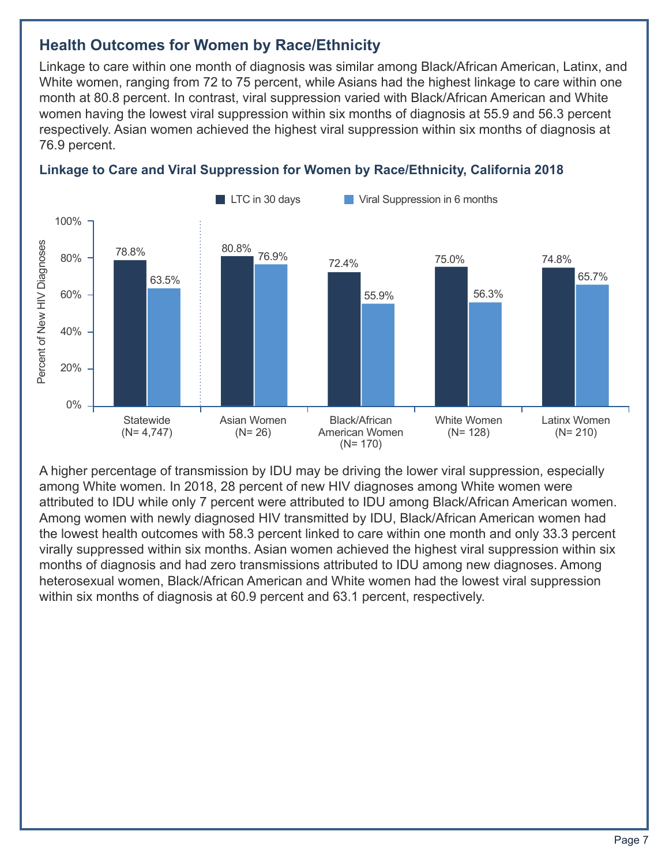## **Health Outcomes for Women by Race/Ethnicity**

Linkage to care within one month of diagnosis was similar among Black/African American, Latinx, and White women, ranging from 72 to 75 percent, while Asians had the highest linkage to care within one month at 80.8 percent. In contrast, viral suppression varied with Black/African American and White women having the lowest viral suppression within six months of diagnosis at 55.9 and 56.3 percent respectively. Asian women achieved the highest viral suppression within six months of diagnosis at 76.9 percent.



### **Linkage to Care and Viral Suppression for Women by Race/Ethnicity, California 2018**

A higher percentage of transmission by IDU may be driving the lower viral suppression, especially among White women. In 2018, 28 percent of new HIV diagnoses among White women were attributed to IDU while only 7 percent were attributed to IDU among Black/African American women. Among women with newly diagnosed HIV transmitted by IDU, Black/African American women had the lowest health outcomes with 58.3 percent linked to care within one month and only 33.3 percent virally suppressed within six months. Asian women achieved the highest viral suppression within six months of diagnosis and had zero transmissions attributed to IDU among new diagnoses. Among heterosexual women, Black/African American and White women had the lowest viral suppression within six months of diagnosis at 60.9 percent and 63.1 percent, respectively.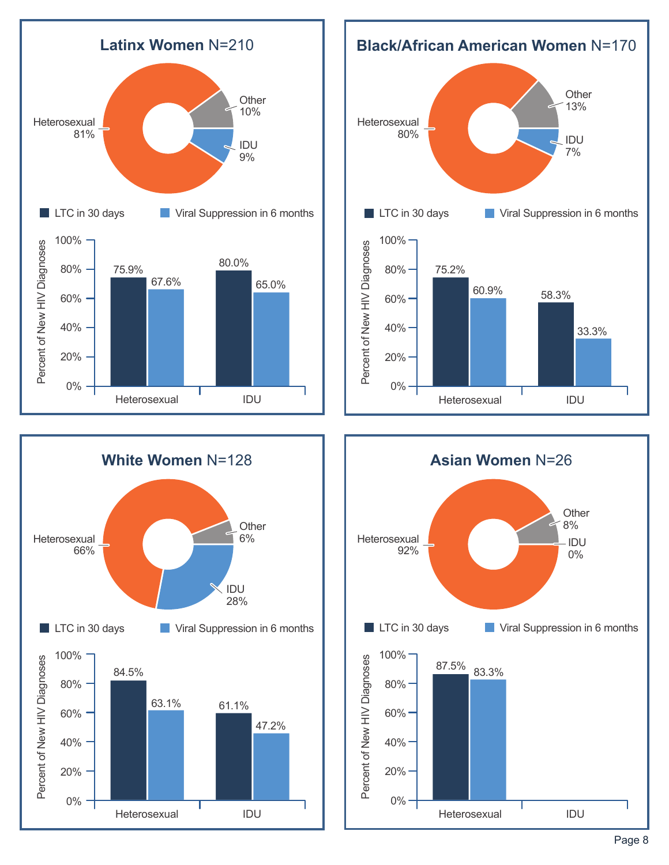





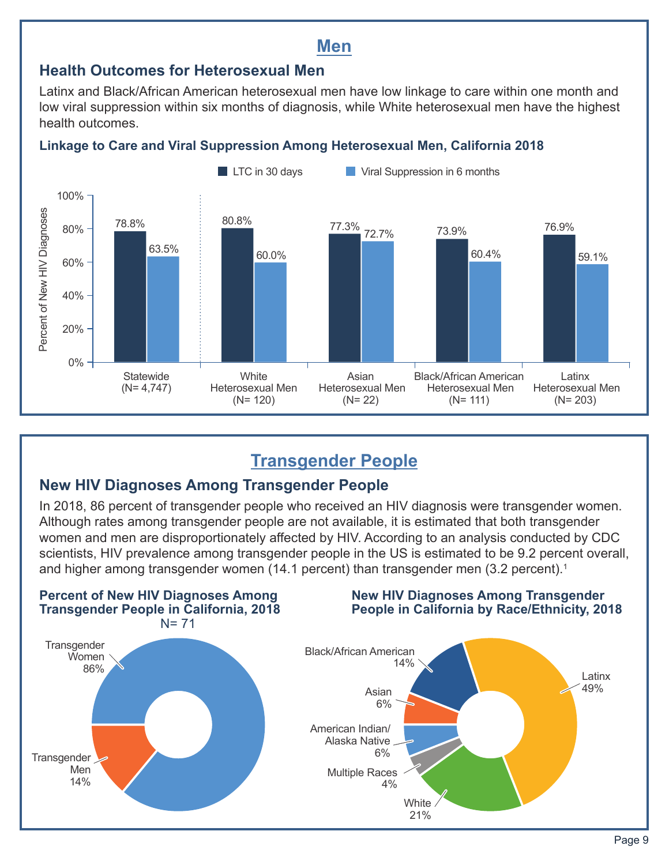## **Men**

## **Health Outcomes for Heterosexual Men**

Latinx and Black/African American heterosexual men have low linkage to care within one month and low viral suppression within six months of diagnosis, while White heterosexual men have the highest health outcomes.

## **Linkage to Care and Viral Suppression Among Heterosexual Men, California 2018**



## **Transgender People**

## **New HIV Diagnoses Among Transgender People**

In 2018, 86 percent of transgender people who received an HIV diagnosis were transgender women. Although rates among transgender people are not available, it is estimated that both transgender women and men are disproportionately affected by HIV. According to an analysis conducted by CDC scientists, HIV prevalence among transgender people in the US is estimated to be 9.2 percent overall, and higher among transgender women (14.1 percent) than transgender men (3.2 percent).<sup>1</sup>

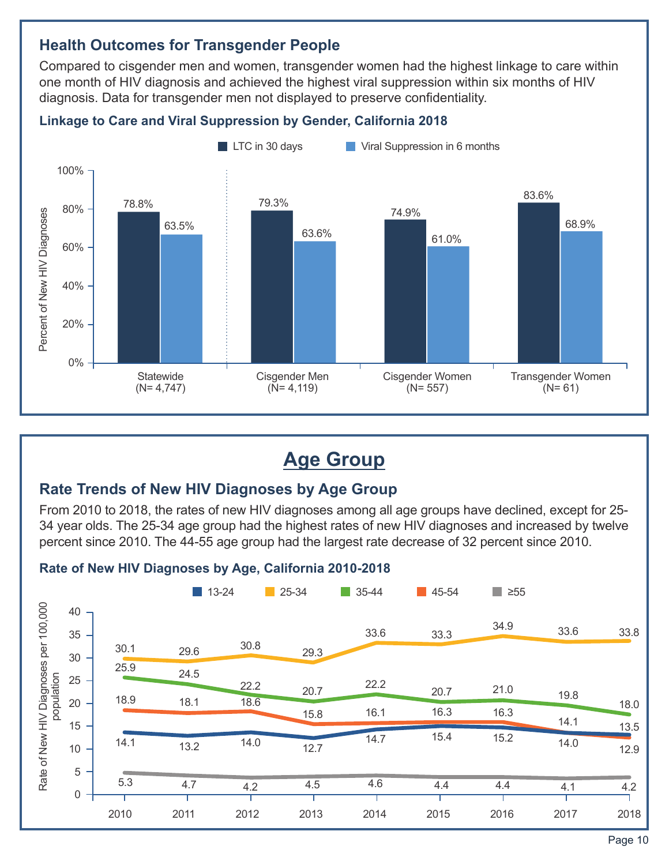## **Health Outcomes for Transgender People**

Compared to cisgender men and women, transgender women had the highest linkage to care within one month of HIV diagnosis and achieved the highest viral suppression within six months of HIV diagnosis. Data for transgender men not displayed to preserve confidentiality.



#### **Linkage to Care and Viral Suppression by Gender, California 2018**

## **Age Group**

### **Rate Trends of New HIV Diagnoses by Age Group**

From 2010 to 2018, the rates of new HIV diagnoses among all age groups have declined, except for 25- 34 year olds. The 25-34 age group had the highest rates of new HIV diagnoses and increased by twelve percent since 2010. The 44-55 age group had the largest rate decrease of 32 percent since 2010.

#### **Rate of New HIV Diagnoses by Age, California 2010-2018**

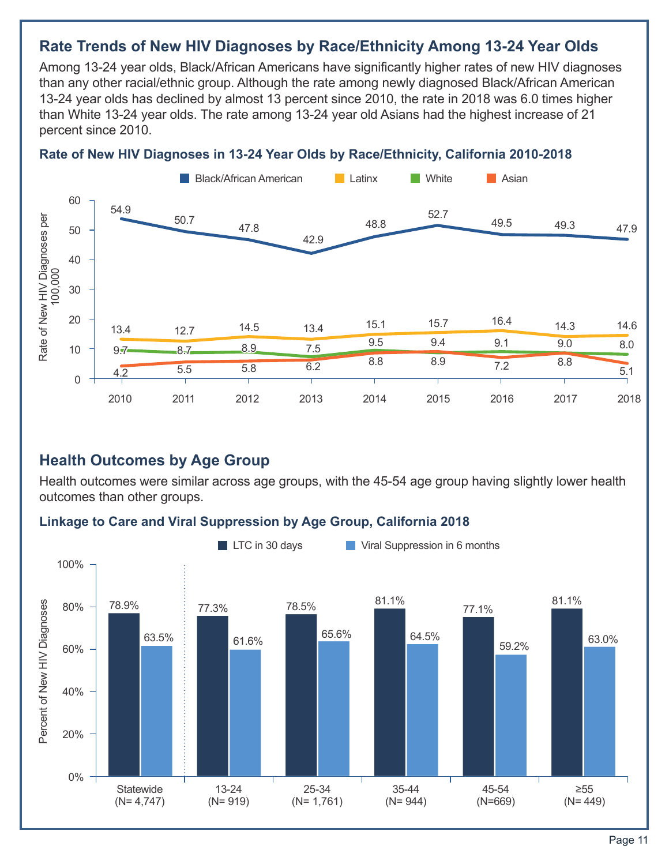## **Rate Trends of New HIV Diagnoses by Race/Ethnicity Among 13-24 Year Olds**

Among 13-24 year olds, Black/African Americans have significantly higher rates of new HIV diagnoses than any other racial/ethnic group. Although the rate among newly diagnosed Black/African American 13-24 year olds has declined by almost 13 percent since 2010, the rate in 2018 was 6.0 times higher than White 13-24 year olds. The rate among 13-24 year old Asians had the highest increase of 21 percent since 2010.

#### **Rate of New HIV Diagnoses in 13-24 Year Olds by Race/Ethnicity, California 2010-2018**



#### **Health Outcomes by Age Group**

Health outcomes were similar across age groups, with the 45-54 age group having slightly lower health outcomes than other groups.

#### **Linkage to Care and Viral Suppression by Age Group, California 2018**

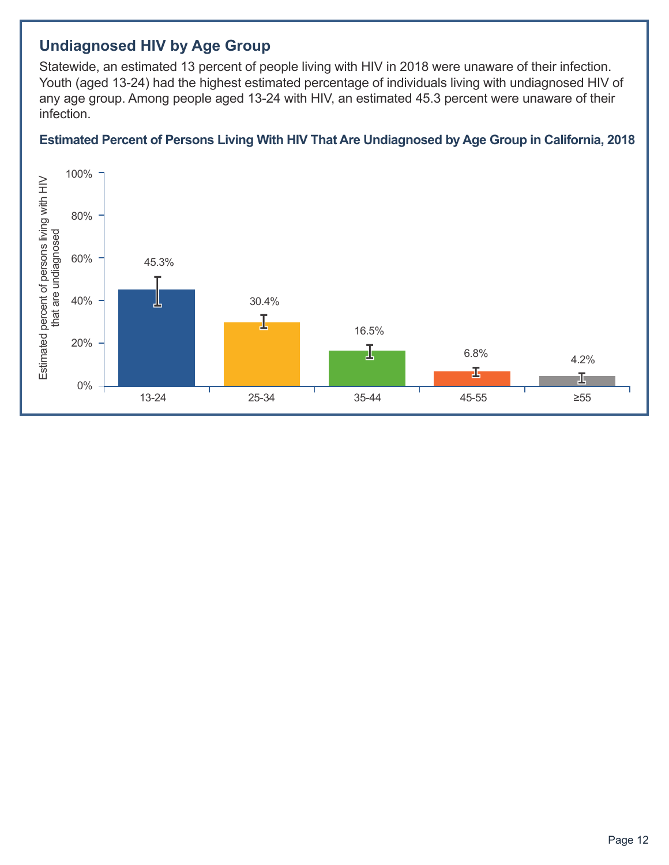## **Undiagnosed HIV by Age Group**

Statewide, an estimated 13 percent of people living with HIV in 2018 were unaware of their infection. Youth (aged 13-24) had the highest estimated percentage of individuals living with undiagnosed HIV of any age group. Among people aged 13-24 with HIV, an estimated 45.3 percent were unaware of their infection.

#### **Estimated Percent of Persons Living With HIV That Are Undiagnosed by Age Group in California, 2018**

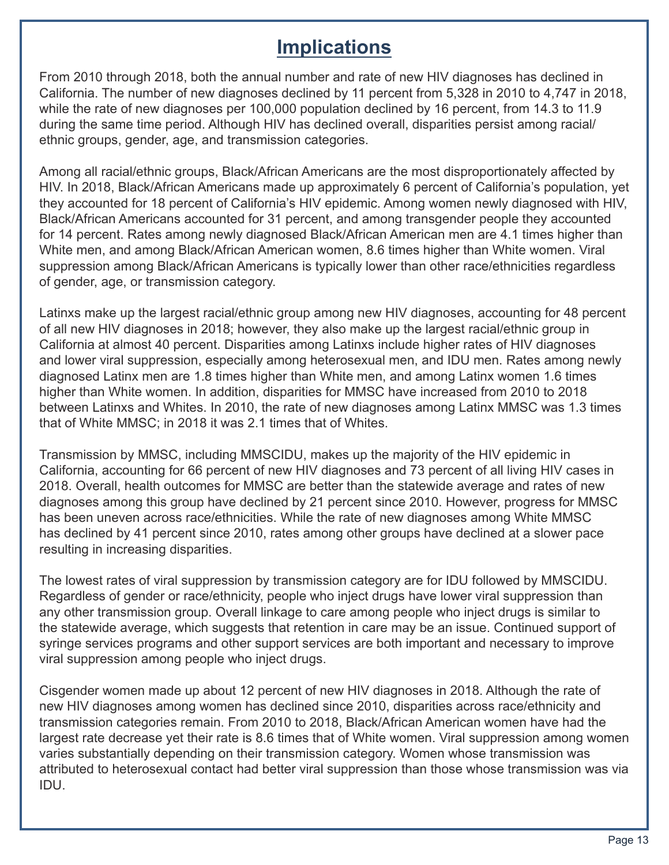## **Implications**

From 2010 through 2018, both the annual number and rate of new HIV diagnoses has declined in California. The number of new diagnoses declined by 11 percent from 5,328 in 2010 to 4,747 in 2018, while the rate of new diagnoses per 100,000 population declined by 16 percent, from 14.3 to 11.9 during the same time period. Although HIV has declined overall, disparities persist among racial/ ethnic groups, gender, age, and transmission categories.

Among all racial/ethnic groups, Black/African Americans are the most disproportionately affected by HIV. In 2018, Black/African Americans made up approximately 6 percent of California's population, yet they accounted for 18 percent of California's HIV epidemic. Among women newly diagnosed with HIV, Black/African Americans accounted for 31 percent, and among transgender people they accounted for 14 percent. Rates among newly diagnosed Black/African American men are 4.1 times higher than White men, and among Black/African American women, 8.6 times higher than White women. Viral suppression among Black/African Americans is typically lower than other race/ethnicities regardless of gender, age, or transmission category.

Latinxs make up the largest racial/ethnic group among new HIV diagnoses, accounting for 48 percent of all new HIV diagnoses in 2018; however, they also make up the largest racial/ethnic group in California at almost 40 percent. Disparities among Latinxs include higher rates of HIV diagnoses and lower viral suppression, especially among heterosexual men, and IDU men. Rates among newly diagnosed Latinx men are 1.8 times higher than White men, and among Latinx women 1.6 times higher than White women. In addition, disparities for MMSC have increased from 2010 to 2018 between Latinxs and Whites. In 2010, the rate of new diagnoses among Latinx MMSC was 1.3 times that of White MMSC; in 2018 it was 2.1 times that of Whites.

Transmission by MMSC, including MMSCIDU, makes up the majority of the HIV epidemic in California, accounting for 66 percent of new HIV diagnoses and 73 percent of all living HIV cases in 2018. Overall, health outcomes for MMSC are better than the statewide average and rates of new diagnoses among this group have declined by 21 percent since 2010. However, progress for MMSC has been uneven across race/ethnicities. While the rate of new diagnoses among White MMSC has declined by 41 percent since 2010, rates among other groups have declined at a slower pace resulting in increasing disparities.

The lowest rates of viral suppression by transmission category are for IDU followed by MMSCIDU. Regardless of gender or race/ethnicity, people who inject drugs have lower viral suppression than any other transmission group. Overall linkage to care among people who inject drugs is similar to the statewide average, which suggests that retention in care may be an issue. Continued support of syringe services programs and other support services are both important and necessary to improve viral suppression among people who inject drugs.

Cisgender women made up about 12 percent of new HIV diagnoses in 2018. Although the rate of new HIV diagnoses among women has declined since 2010, disparities across race/ethnicity and transmission categories remain. From 2010 to 2018, Black/African American women have had the largest rate decrease yet their rate is 8.6 times that of White women. Viral suppression among women varies substantially depending on their transmission category. Women whose transmission was attributed to heterosexual contact had better viral suppression than those whose transmission was via IDU.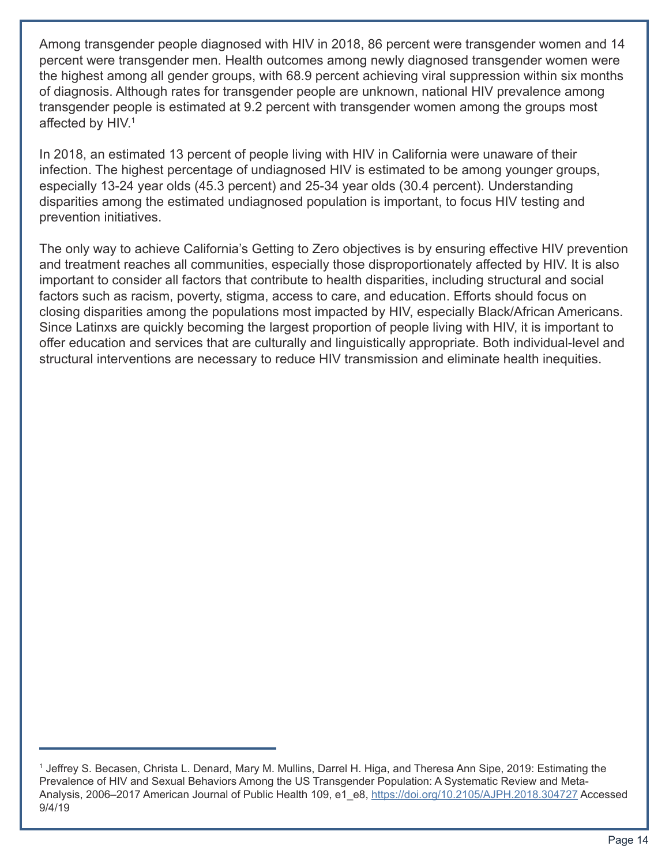Among transgender people diagnosed with HIV in 2018, 86 percent were transgender women and 14 percent were transgender men. Health outcomes among newly diagnosed transgender women were the highest among all gender groups, with 68.9 percent achieving viral suppression within six months of diagnosis. Although rates for transgender people are unknown, national HIV prevalence among transgender people is estimated at 9.2 percent with transgender women among the groups most affected by HIV.<sup>1</sup>

In 2018, an estimated 13 percent of people living with HIV in California were unaware of their infection. The highest percentage of undiagnosed HIV is estimated to be among younger groups, especially 13-24 year olds (45.3 percent) and 25-34 year olds (30.4 percent). Understanding disparities among the estimated undiagnosed population is important, to focus HIV testing and prevention initiatives.

The only way to achieve California's Getting to Zero objectives is by ensuring effective HIV prevention and treatment reaches all communities, especially those disproportionately affected by HIV. It is also important to consider all factors that contribute to health disparities, including structural and social factors such as racism, poverty, stigma, access to care, and education. Efforts should focus on closing disparities among the populations most impacted by HIV, especially Black/African Americans. Since Latinxs are quickly becoming the largest proportion of people living with HIV, it is important to offer education and services that are culturally and linguistically appropriate. Both individual-level and structural interventions are necessary to reduce HIV transmission and eliminate health inequities.

<sup>&</sup>lt;sup>1</sup> Jeffrey S. Becasen, Christa L. Denard, Mary M. Mullins, Darrel H. Higa, and Theresa Ann Sipe, 2019: Estimating the Prevalence of HIV and Sexual Behaviors Among the US Transgender Population: A Systematic Review and MetaAnalysis, 2006–2017 American Journal of Public Health 109, e1 e8,<https://doi.org/10.2105/AJPH.2018.304727> Accessed 9/4/19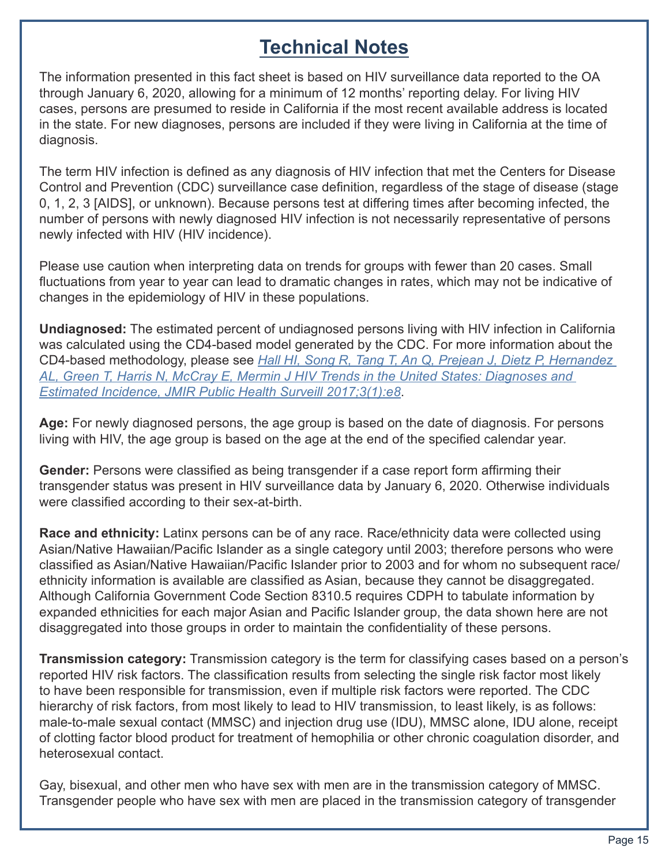## **Technical Notes**

The information presented in this fact sheet is based on HIV surveillance data reported to the OA through January 6, 2020, allowing for a minimum of 12 months' reporting delay. For living HIV cases, persons are presumed to reside in California if the most recent available address is located in the state. For new diagnoses, persons are included if they were living in California at the time of diagnosis.

The term HIV infection is defined as any diagnosis of HIV infection that met the Centers for Disease Control and Prevention (CDC) surveillance case definition, regardless of the stage of disease (stage 0, 1, 2, 3 [AIDS], or unknown). Because persons test at differing times after becoming infected, the number of persons with newly diagnosed HIV infection is not necessarily representative of persons newly infected with HIV (HIV incidence).

Please use caution when interpreting data on trends for groups with fewer than 20 cases. Small fluctuations from year to year can lead to dramatic changes in rates, which may not be indicative of changes in the epidemiology of HIV in these populations.

**Undiagnosed:** The estimated percent of undiagnosed persons living with HIV infection in California was calculated using the CD4-based model generated by the CDC. For more information about the CD4-based methodology, please see *[Hall HI, Song R, Tang T, An Q, Prejean J, Dietz P, Hernandez](https://publichealth.jmir.org/2017/1/e8/)  [AL, Green T, Harris N, McCray E, Mermin J HIV Trends in the United States: Diagnoses and](https://publichealth.jmir.org/2017/1/e8/)  [Estimated Incidence, JMIR Public Health Surveill 2017;3\(1\):e8](https://publichealth.jmir.org/2017/1/e8/)*.

**Age:** For newly diagnosed persons, the age group is based on the date of diagnosis. For persons living with HIV, the age group is based on the age at the end of the specified calendar year.

**Gender:** Persons were classified as being transgender if a case report form affirming their transgender status was present in HIV surveillance data by January 6, 2020. Otherwise individuals were classified according to their sex-at-birth.

**Race and ethnicity:** Latinx persons can be of any race. Race/ethnicity data were collected using Asian/Native Hawaiian/Pacific Islander as a single category until 2003; therefore persons who were classified as Asian/Native Hawaiian/Pacific Islander prior to 2003 and for whom no subsequent race/ ethnicity information is available are classified as Asian, because they cannot be disaggregated. Although California Government Code Section 8310.5 requires CDPH to tabulate information by expanded ethnicities for each major Asian and Pacific Islander group, the data shown here are not disaggregated into those groups in order to maintain the confidentiality of these persons.

**Transmission category:** Transmission category is the term for classifying cases based on a person's reported HIV risk factors. The classification results from selecting the single risk factor most likely to have been responsible for transmission, even if multiple risk factors were reported. The CDC hierarchy of risk factors, from most likely to lead to HIV transmission, to least likely, is as follows: male-to-male sexual contact (MMSC) and injection drug use (IDU), MMSC alone, IDU alone, receipt of clotting factor blood product for treatment of hemophilia or other chronic coagulation disorder, and heterosexual contact.

Gay, bisexual, and other men who have sex with men are in the transmission category of MMSC. Transgender people who have sex with men are placed in the transmission category of transgender